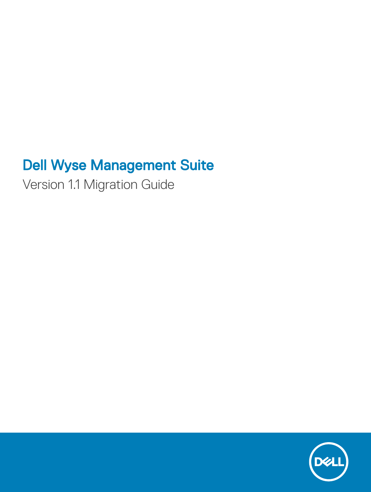# Dell Wyse Management Suite

Version 1.1 Migration Guide

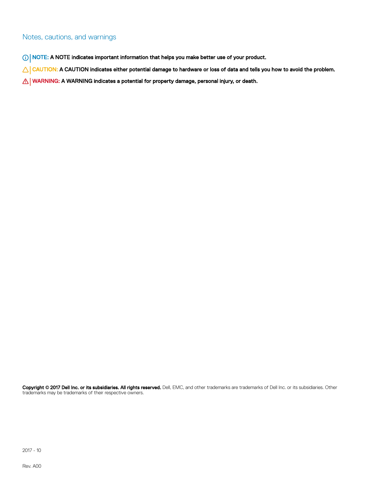### Notes, cautions, and warnings

- NOTE: A NOTE indicates important information that helps you make better use of your product.
- A CAUTION: A CAUTION indicates either potential damage to hardware or loss of data and tells you how to avoid the problem.
- MUARNING: A WARNING indicates a potential for property damage, personal injury, or death.

Copyright © 2017 Dell Inc. or its subsidiaries. All rights reserved. Dell, EMC, and other trademarks are trademarks of Dell Inc. or its subsidiaries. Other trademarks may be trademarks of their respective owners.

2017 - 10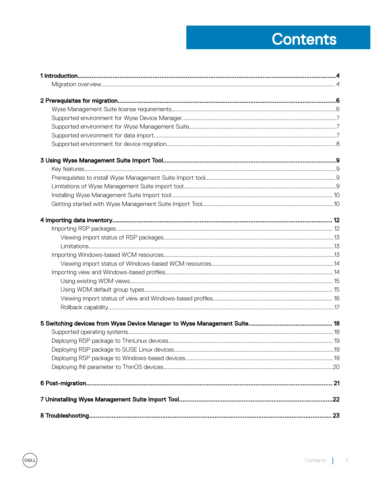# **Contents**

 $(\sim$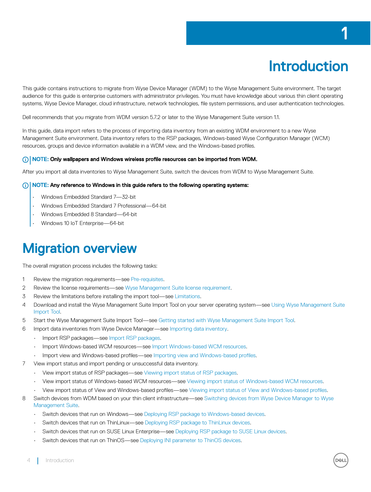# Introduction

1

<span id="page-3-0"></span>This guide contains instructions to migrate from Wyse Device Manager (WDM) to the Wyse Management Suite environment. The target audience for this guide is enterprise customers with administrator privileges. You must have knowledge about various thin client operating systems, Wyse Device Manager, cloud infrastructure, network technologies, file system permissions, and user authentication technologies.

Dell recommends that you migrate from WDM version 5.7.2 or later to the Wyse Management Suite version 1.1.

In this guide, data import refers to the process of importing data inventory from an existing WDM environment to a new Wyse Management Suite environment. Data inventory refers to the RSP packages, Windows-based Wyse Configuration Manager (WCM) resources, groups and device information available in a WDM view, and the Windows-based profiles.

### NOTE: Only wallpapers and Windows wireless profile resources can be imported from WDM.

After you import all data inventories to Wyse Management Suite, switch the devices from WDM to Wyse Management Suite.

#### $\cap$  NOTE: Any reference to Windows in this guide refers to the following operating systems:

- Windows Embedded Standard 7—32-bit
- Windows Embedded Standard 7 Professional—64-bit
- Windows Embedded 8 Standard—64-bit
- Windows 10 IoT Enterprise—64-bit

## Migration overview

The overall migration process includes the following tasks:

- 1 Review the migration requirements—see [Pre-requisites.](#page-5-0)
- 2 Review the license requirements—see [Wyse Management Suite license requirement.](#page-5-0)
- 3 Review the limitations before installing the import tool—see [Limitations.](#page-8-0)
- 4 Download and install the Wyse Management Suite Import Tool on your server operating system—see [Using Wyse Management Suite](#page-8-0) [Import Tool](#page-8-0).
- 5 Start the Wyse Management Suite Import Tool—see [Getting started with Wyse Management Suite Import Tool.](#page-9-0)
- 6 Import data inventories from Wyse Device Manager—see [Importing data inventory](#page-11-0).
	- Import RSP packages—see [Import RSP packages.](#page-11-0)
	- Import Windows-based WCM resources—see [Import Windows-based WCM resources.](#page-13-0)
	- Import view and Windows-based profiles—see Importing view and Windows-based profiles.
- 7 View import status and import pending or unsuccessful data inventory.
	- View import status of RSP packages—see [Viewing import status of RSP packages.](#page-12-0)
	- View import status of Windows-based WCM resources—see [Viewing import status of Windows-based WCM resources.](#page-13-0)
	- View import status of View and Windows-based profiles—see Viewing import status of View and Windows-based profiles.
- 8 Switch devices from WDM based on your thin client infrastructure—see [Switching devices from Wyse Device Manager to Wyse](#page-17-0) [Management Suite](#page-17-0).
	- Switch devices that run on Windows—see [Deploying RSP package to Windows-based devices](#page-18-0).
	- Switch devices that run on ThinLinux—see [Deploying RSP package to ThinLinux devices.](#page-18-0)
	- Switch devices that run on SUSE Linux Enterprise—see [Deploying RSP package to SUSE Linux devices.](#page-18-0)
	- Switch devices that run on ThinOS—see [Deploying INI parameter to ThinOS devices](#page-19-0).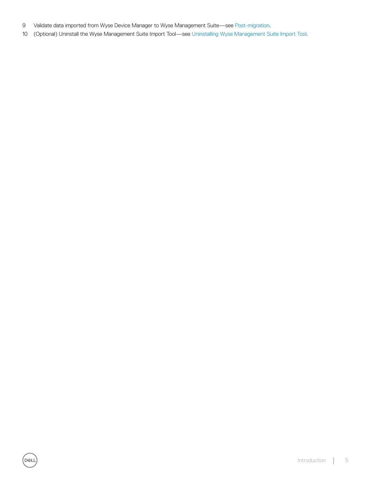9 Validate data imported from Wyse Device Manager to Wyse Management Suite—see [Post-migration](#page-20-0).

**D**<sup></sup>

10 (Optional) Uninstall the Wyse Management Suite Import Tool—see [Uninstalling Wyse Management Suite Import Tool.](#page-21-0)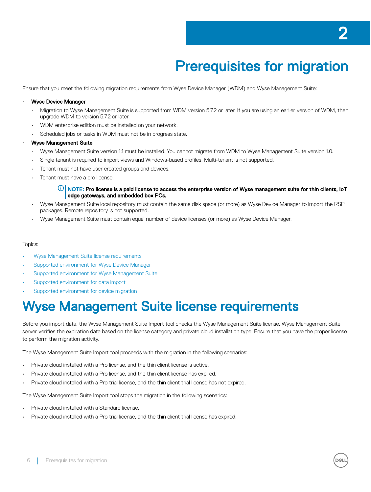# Prerequisites for migration

<span id="page-5-0"></span>Ensure that you meet the following migration requirements from Wyse Device Manager (WDM) and Wyse Management Suite:

### • Wyse Device Manager

- Migration to Wyse Management Suite is supported from WDM version 5.7.2 or later. If you are using an earlier version of WDM, then upgrade WDM to version 5.7.2 or later.
- WDM enterprise edition must be installed on your network.
- Scheduled jobs or tasks in WDM must not be in progress state.

#### • Wyse Management Suite

- Wyse Management Suite version 1.1 must be installed. You cannot migrate from WDM to Wyse Management Suite version 1.0.
- Single tenant is required to import views and Windows-based profiles. Multi-tenant is not supported.
- Tenant must not have user created groups and devices.
- Tenant must have a pro license.

#### $\textcircled{\tiny{1}}$  NOTE: Pro license is a paid license to access the enterprise version of Wyse management suite for thin clients, IoT edge gateways, and embedded box PCs.

- Wyse Management Suite local repository must contain the same disk space (or more) as Wyse Device Manager to import the RSP packages. Remote repository is not supported.
- Wyse Management Suite must contain equal number of device licenses (or more) as Wyse Device Manager.

#### Topics:

- Wyse Management Suite license requirements
- [Supported environment for Wyse Device Manager](#page-6-0)
- [Supported environment for Wyse Management Suite](#page-6-0)
- [Supported environment for data import](#page-6-0)
- [Supported environment for device migration](#page-7-0)

## Wyse Management Suite license requirements

Before you import data, the Wyse Management Suite Import tool checks the Wyse Management Suite license. Wyse Management Suite server verifies the expiration date based on the license category and private cloud installation type. Ensure that you have the proper license to perform the migration activity.

The Wyse Management Suite Import tool proceeds with the migration in the following scenarios:

- Private cloud installed with a Pro license, and the thin client license is active.
- Private cloud installed with a Pro license, and the thin client license has expired.
- Private cloud installed with a Pro trial license, and the thin client trial license has not expired.

The Wyse Management Suite Import tool stops the migration in the following scenarios:

- Private cloud installed with a Standard license.
- Private cloud installed with a Pro trial license, and the thin client trial license has expired.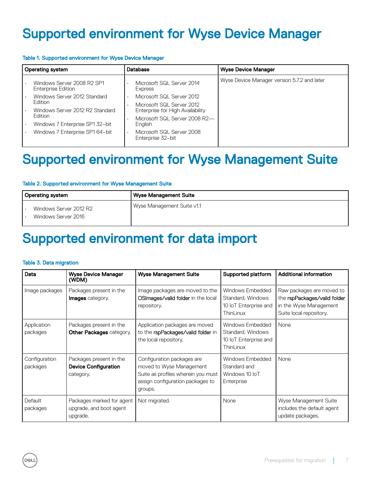# <span id="page-6-0"></span>Supported environment for Wyse Device Manager

### Table 1. Supported environment for Wyse Device Manager

| Operating system<br><b>Database</b> |                                                         | <b>Wyse Device Manager</b> |                                                |                                             |
|-------------------------------------|---------------------------------------------------------|----------------------------|------------------------------------------------|---------------------------------------------|
|                                     | Windows Server 2008 R2 SP1<br><b>Enterprise Edition</b> |                            | Microsoft SQL Server 2014<br>Express           | Wyse Device Manager version 5.7.2 and later |
|                                     | Windows Server 2012 Standard                            |                            | Microsoft SQL Server 2012                      |                                             |
|                                     | <b>Edition</b>                                          | $\bullet$                  | Microsoft SQL Server 2012                      |                                             |
|                                     | Windows Server 2012 R2 Standard                         |                            | Enterprise for High Availability               |                                             |
|                                     | Edition                                                 |                            | Microsoft SQL Server 2008 R2-                  |                                             |
|                                     | Windows 7 Enterprise SP1 32-bit                         |                            | English                                        |                                             |
|                                     | Windows 7 Enterprise SP1 64-bit                         |                            | Microsoft SQL Server 2008<br>Enterprise 32-bit |                                             |

## Supported environment for Wyse Management Suite

#### Table 2. Supported environment for Wyse Management Suite

| Operating system                              | Wyse Management Suite      |
|-----------------------------------------------|----------------------------|
| Windows Server 2012 R2<br>Windows Server 2016 | Wyse Management Suite v1.1 |

## Supported environment for data import

#### Table 3. Data migration

**D**<sup></sup>

| Data                      | <b>Wyse Device Manager</b><br>(WDM)                                 | <b>Wyse Management Suite</b>                                                                                                                | Supported platform                                                          | <b>Additional information</b>                                                                                  |
|---------------------------|---------------------------------------------------------------------|---------------------------------------------------------------------------------------------------------------------------------------------|-----------------------------------------------------------------------------|----------------------------------------------------------------------------------------------------------------|
| Image packages            | Packages present in the<br><b>Images</b> category.                  | Image packages are moved to the<br>OSImages/valid folder in the local<br>repository.                                                        | Windows Embedded<br>Standard, Windows<br>10 IoT Enterprise and<br>ThinLinux | Raw packages are moved to<br>the rspPackages/valid folder<br>in the Wyse Management<br>Suite local repository. |
| Application<br>packages   | Packages present in the<br><b>Other Packages category.</b>          | Application packages are moved<br>to the rspPackages/valid folder in<br>the local repository.                                               | Windows Embedded<br>Standard, Windows<br>10 IoT Enterprise and<br>ThinLinux | None                                                                                                           |
| Configuration<br>packages | Packages present in the<br><b>Device Configuration</b><br>category. | Configuration packages are<br>moved to Wyse Management<br>Suite as profiles wherein you must<br>assign configuration packages to<br>groups. | Windows Embedded<br>Standard and<br>Windows 10 IoT<br>Enterprise            | None                                                                                                           |
| Default<br>packages       | Packages marked for agent<br>upgrade, and boot agent<br>upgrade.    | Not migrated.                                                                                                                               | None                                                                        | Wyse Management Suite<br>includes the default agent<br>update packages.                                        |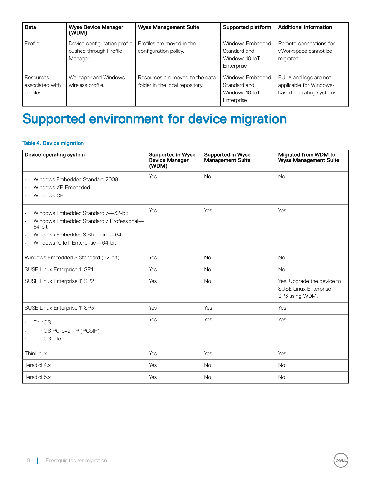<span id="page-7-0"></span>

| Data                                     | <b>Wyse Device Manager</b><br>(WDM)                                | <b>Wyse Management Suite</b>                                       | Supported platform                                               | <b>Additional information</b>                                                |
|------------------------------------------|--------------------------------------------------------------------|--------------------------------------------------------------------|------------------------------------------------------------------|------------------------------------------------------------------------------|
| Profile                                  | Device configuration profile<br>pushed through Profile<br>Manager. | Profiles are moved in the<br>configuration policy.                 | Windows Embedded<br>Standard and<br>Windows 10 IoT<br>Enterprise | Remote connections for<br>vWorkspace cannot be<br>migrated.                  |
| Resources<br>associated with<br>profiles | Wallpaper and Windows<br>wireless profile.                         | Resources are moved to the data<br>folder in the local repository. | Windows Embedded<br>Standard and<br>Windows 10 IoT<br>Enterprise | EULA and logo are not<br>applicable for Windows-<br>based operating systems. |

# Supported environment for device migration

### Table 4. Device migration

| Device operating system                                                                                                                                                                          | <b>Supported in Wyse</b><br><b>Device Manager</b><br>(WDM) | <b>Supported in Wyse</b><br><b>Management Suite</b> | Migrated from WDM to<br><b>Wyse Management Suite</b>                     |
|--------------------------------------------------------------------------------------------------------------------------------------------------------------------------------------------------|------------------------------------------------------------|-----------------------------------------------------|--------------------------------------------------------------------------|
| Windows Embedded Standard 2009<br>$\ddot{\phantom{0}}$<br>Windows XP Embedded<br>Windows CE                                                                                                      | Yes                                                        | <b>No</b>                                           | <b>No</b>                                                                |
| Windows Embedded Standard 7-32-bit<br>۰<br>Windows Embedded Standard 7 Professional-<br>64-bit<br>Windows Embedded 8 Standard—64-bit<br>$\ddot{\phantom{0}}$<br>Windows 10 IoT Enterprise-64-bit | Yes                                                        | Yes                                                 | Yes                                                                      |
| Windows Embedded 8 Standard (32-bit)                                                                                                                                                             | Yes                                                        | <b>No</b>                                           | <b>No</b>                                                                |
| SUSE Linux Enterprise 11 SP1                                                                                                                                                                     | Yes                                                        | <b>No</b>                                           | <b>No</b>                                                                |
| SUSE Linux Enterprise 11 SP2                                                                                                                                                                     | Yes                                                        | <b>No</b>                                           | Yes. Upgrade the device to<br>SUSE Linux Enterprise 11<br>SP3 using WDM. |
| SUSE Linux Enterprise 11 SP3                                                                                                                                                                     | Yes                                                        | Yes                                                 | Yes                                                                      |
| ThinOS<br>٠<br>ThinOS PC-over-IP (PCoIP)<br>ThinOS Lite                                                                                                                                          | Yes                                                        | Yes                                                 | Yes                                                                      |
| ThinLinux                                                                                                                                                                                        | Yes                                                        | Yes                                                 | Yes                                                                      |
| Teradici 4.x                                                                                                                                                                                     | Yes                                                        | <b>No</b>                                           | <b>No</b>                                                                |
| Teradici 5.x                                                                                                                                                                                     | Yes                                                        | <b>No</b>                                           | <b>No</b>                                                                |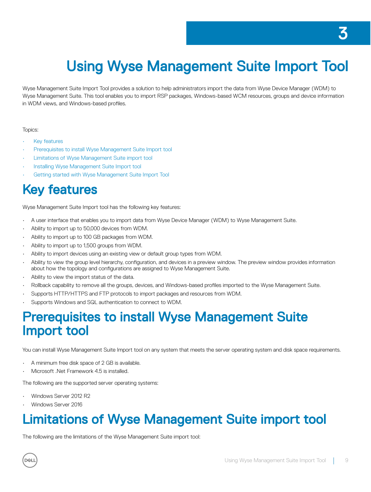# <span id="page-8-0"></span>Using Wyse Management Suite Import Tool

Wyse Management Suite Import Tool provides a solution to help administrators import the data from Wyse Device Manager (WDM) to Wyse Management Suite. This tool enables you to import RSP packages, Windows-based WCM resources, groups and device information in WDM views, and Windows-based profiles.

### Topics:

- **Key features**
- Prerequisites to install Wyse Management Suite Import tool
- Limitations of Wyse Management Suite import tool
- [Installing Wyse Management Suite Import tool](#page-9-0)
- [Getting started with Wyse Management Suite Import Tool](#page-9-0)

# Key features

Wyse Management Suite Import tool has the following key features:

- A user interface that enables you to import data from Wyse Device Manager (WDM) to Wyse Management Suite.
- Ability to import up to 50,000 devices from WDM.
- Ability to import up to 100 GB packages from WDM.
- Ability to import up to 1,500 groups from WDM.
- Ability to import devices using an existing view or default group types from WDM.
- Ability to view the group level hierarchy, configuration, and devices in a preview window. The preview window provides information about how the topology and configurations are assigned to Wyse Management Suite.
- Ability to view the import status of the data.
- Rollback capability to remove all the groups, devices, and Windows-based profiles imported to the Wyse Management Suite.
- Supports HTTP/HTTPS and FTP protocols to import packages and resources from WDM.
- Supports Windows and SQL authentication to connect to WDM.

## Prerequisites to install Wyse Management Suite Import tool

You can install Wyse Management Suite Import tool on any system that meets the server operating system and disk space requirements.

- A minimum free disk space of 2 GB is available.
- Microsoft .Net Framework 4.5 is installed.

The following are the supported server operating systems:

- Windows Server 2012 R2
- Windows Server 2016

# Limitations of Wyse Management Suite import tool

The following are the limitations of the Wyse Management Suite import tool: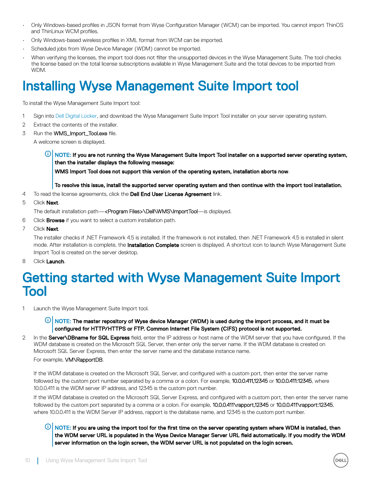- <span id="page-9-0"></span>Only Windows-based profiles in JSON format from Wyse Configuration Manager (WCM) can be imported. You cannot import ThinOS and ThinLinux WCM profiles.
- Only Windows-based wireless profiles in XML format from WCM can be imported.
- Scheduled jobs from Wyse Device Manager (WDM) cannot be imported.
- When verifying the licenses, the import tool does not filter the unsupported devices in the Wyse Management Suite. The tool checks the license based on the total license subscriptions available in Wyse Management Suite and the total devices to be imported from W<sub>DM</sub>

# Installing Wyse Management Suite Import tool

To install the Wyse Management Suite Import tool:

- 1 Sign into [Dell Digital Locker,](https://www.dell.com/support/software/us/en/4) and download the Wyse Management Suite Import Tool installer on your server operating system.
- 2 Extract the contents of the installer.
- 3 Run the **WMS\_Import\_Tool.exe** file.

A welcome screen is displayed.

NOTE: If you are not running the Wyse Management Suite Import Tool installer on a supported server operating system, then the installer displays the following message:

WMS Import Tool does not support this version of the operating system, installation aborts now.

To resolve this issue, install the supported server operating system and then continue with the import tool installation.

4 To read the license agreements, click the **Dell End User License Agreement** link.

### 5 Click **Next**.

The default installation path—<Program Files>\Dell\WMS\ImportTool—is displayed.

- 6 Click **Browse** if you want to select a custom installation path.
- 7 Click **Next**.

The installer checks if .NET Framework 4.5 is installed. If the framework is not installed, then .NET Framework 4.5 is installed in silent mode. After installation is complete, the **Installation Complete** screen is displayed. A shortcut icon to launch Wyse Management Suite Import Tool is created on the server desktop.

8 Click Launch.

## Getting started with Wyse Management Suite Import Tool

1 Launch the Wyse Management Suite Import tool.

 $\circled{0}$  NOTE: The master repository of Wyse device Manager (WDM) is used during the import process, and it must be configured for HTTP/HTTPS or FTP. Common Internet File System (CIFS) protocol is not supported.

2 In the **Server\DBname for SQL Express** field, enter the IP address or host name of the WDM server that you have configured. If the WDM database is created on the Microsoft SQL Server, then enter only the server name. If the WDM database is created on Microsoft SQL Server Express, then enter the server name and the database instance name.

### For example, VM\RapportDB.

If the WDM database is created on the Microsoft SQL Server, and configured with a custom port, then enter the server name followed by the custom port number separated by a comma or a colon. For example, 10.0.0.411,12345 or 10.0.0.411:12345, where 10.0.0.411 is the WDM server IP address, and 12345 is the custom port number.

If the WDM database is created on the Microsoft SQL Server Express, and configured with a custom port, then enter the server name followed by the custom port separated by a comma or a colon. For example, 10.0.0.411\rapport,12345 or 10.0.0.411\rapport:12345, where 10.0.0.411 is the WDM Server IP address, rapport is the database name, and 12345 is the custom port number.

 $\textcircled{1}$  NOTE: If you are using the import tool for the first time on the server operating system where WDM is installed, then the WDM server URL is populated in the Wyse Device Manager Server URL field automatically. If you modify the WDM server information on the login screen, the WDM server URL is not populated on the login screen.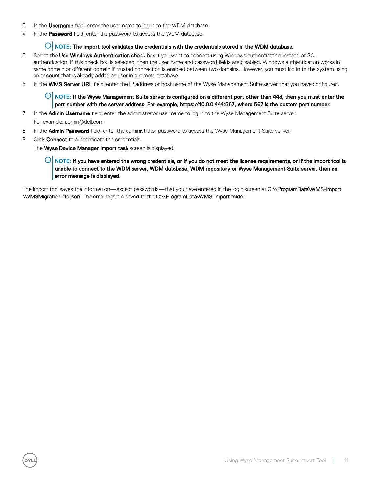- $3$  In the **Username** field, enter the user name to log in to the WDM database.
- 4 In the Password field, enter the password to access the WDM database.

### $\circled{0}$  NOTE: The import tool validates the credentials with the credentials stored in the WDM database.

- 5 Select the Use Windows Authentication check box if you want to connect using Windows authentication instead of SQL authentication. If this check box is selected, then the user name and password fields are disabled. Windows authentication works in same domain or different domain if trusted connection is enabled between two domains. However, you must log in to the system using an account that is already added as user in a remote database.
- 6 In the WMS Server URL field, enter the IP address or host name of the Wyse Management Suite server that you have configured.

 $\odot$  NOTE: If the Wyse Management Suite server is configured on a different port other than 443, then you must enter the port number with the server address. For example, https://10.0.0.444:567, where 567 is the custom port number.

- 7 In the **Admin Username** field, enter the administrator user name to log in to the Wyse Management Suite server.
- For example, admin@dell.com.
- 8 In the **Admin Password** field, enter the administrator password to access the Wyse Management Suite server.
- 9 Click **Connect** to authenticate the credentials.

The **Wyse Device Manager Import task** screen is displayed.

### $\odot$  NOTE: If you have entered the wrong credentials, or if you do not meet the license requirements, or if the import tool is unable to connect to the WDM server, WDM database, WDM repository or Wyse Management Suite server, then an error message is displayed.

The import tool saves the information—except passwords—that you have entered in the login screen at C:\\ProgramData\WMS-Import \WMSMigrationInfo.json. The error logs are saved to the C:\\ProgramData\WMS-Import folder.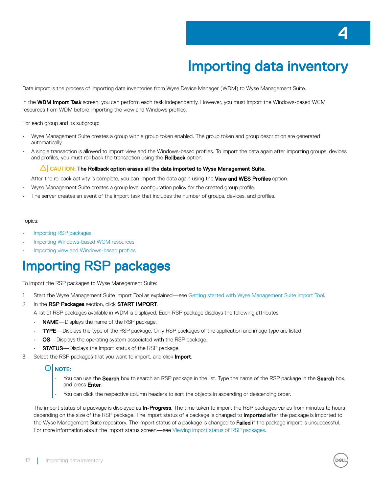# Importing data inventory

<span id="page-11-0"></span>Data import is the process of importing data inventories from Wyse Device Manager (WDM) to Wyse Management Suite.

In the WDM Import Task screen, you can perform each task independently. However, you must import the Windows-based WCM resources from WDM before importing the view and Windows profiles.

For each group and its subgroup:

- Wyse Management Suite creates a group with a group token enabled. The group token and group description are generated automatically.
- A single transaction is allowed to import view and the Windows-based profiles. To import the data again after importing groups, devices and profiles, you must roll back the transaction using the Rollback option.

### $\triangle$  CAUTION: The Rollback option erases all the data imported to Wyse Management Suite.

After the rollback activity is complete, you can import the data again using the View and WES Profiles option.

- Wyse Management Suite creates a group level configuration policy for the created group profile.
- The server creates an event of the import task that includes the number of groups, devices, and profiles.

#### Topics:

- Importing RSP packages
- [Importing Windows-based WCM resources](#page-12-0)
- Importing view and Windows-based profiles

## Importing RSP packages

To import the RSP packages to Wyse Management Suite:

- 1 Start the Wyse Management Suite Import Tool as explained—see [Getting started with Wyse Management Suite Import Tool.](#page-9-0)
- 2 In the RSP Packages section, click START IMPORT.

A list of RSP packages available in WDM is displayed. Each RSP package displays the following attributes:

- NAME-Displays the name of the RSP package.
- TYPE—Displays the type of the RSP package. Only RSP packages of the application and image type are listed.
- OS—Displays the operating system associated with the RSP package.
- **STATUS**—Displays the import status of the RSP package.
- 3 Select the RSP packages that you want to import, and click Import.

### *O* NOTE:

- You can use the **Search** box to search an RSP package in the list. Type the name of the RSP package in the **Search** box, and press **Enter**
- You can click the respective column headers to sort the objects in ascending or descending order.

The import status of a package is displayed as **In-Progress**. The time taken to import the RSP packages varies from minutes to hours depending on the size of the RSP package. The import status of a package is changed to **Imported** after the package is imported to the Wyse Management Suite repository. The import status of a package is changed to Failed if the package import is unsuccessful. For more information about the import status screen—see [Viewing import status of RSP packages](#page-12-0).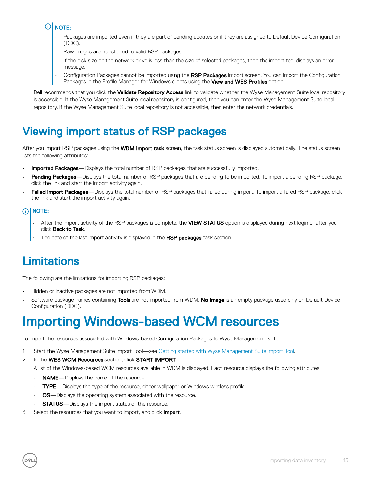#### <span id="page-12-0"></span>തി NOTE:

- Packages are imported even if they are part of pending updates or if they are assigned to Default Device Configuration (DDC).
- Raw images are transferred to valid RSP packages.
- If the disk size on the network drive is less than the size of selected packages, then the import tool displays an error message.
- Configuration Packages cannot be imported using the RSP Packages import screen. You can import the Configuration Packages in the Profile Manager for Windows clients using the View and WES Profiles option.

Dell recommends that you click the Validate Repository Access link to validate whether the Wyse Management Suite local repository is accessible. If the Wyse Management Suite local repository is configured, then you can enter the Wyse Management Suite local repository. If the Wyse Management Suite local repository is not accessible, then enter the network credentials.

## Viewing import status of RSP packages

After you import RSP packages using the WDM Import task screen, the task status screen is displayed automatically. The status screen lists the following attributes:

- **Imported Packages**—Displays the total number of RSP packages that are successfully imported.
- Pending Packages—Displays the total number of RSP packages that are pending to be imported. To import a pending RSP package, click the link and start the import activity again.
- **Failed import Packages**—Displays the total number of RSP packages that failed during import. To import a failed RSP package, click the link and start the import activity again.

### NOTE:

- After the import activity of the RSP packages is complete, the VIEW STATUS option is displayed during next login or after you click Back to Task.
- The date of the last import activity is displayed in the RSP packages task section.

## Limitations

The following are the limitations for importing RSP packages:

- Hidden or inactive packages are not imported from WDM.
- Software package names containing Tools are not imported from WDM. No Image is an empty package used only on Default Device Configuration (DDC).

# Importing Windows-based WCM resources

To import the resources associated with Windows-based Configuration Packages to Wyse Management Suite:

- 1 Start the Wyse Management Suite Import Tool—see [Getting started with Wyse Management Suite Import Tool.](#page-9-0)
- 2 In the WES WCM Resources section, click START IMPORT.
	- A list of the Windows-based WCM resources available in WDM is displayed. Each resource displays the following attributes:
	- **NAME**—Displays the name of the resource.
	- TYPE-Displays the type of the resource, either wallpaper or Windows wireless profile.
	- **OS**—Displays the operating system associated with the resource.
	- **STATUS**—Displays the import status of the resource.
- 3 Select the resources that you want to import, and click **Import**.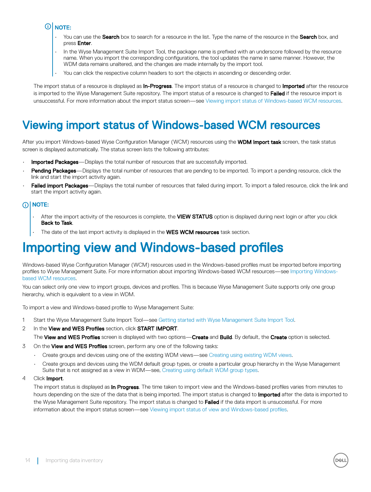## <span id="page-13-0"></span>**OI** NOTE:

- You can use the Search box to search for a resource in the list. Type the name of the resource in the Search box, and press Enter.
- In the Wyse Management Suite Import Tool, the package name is prefixed with an underscore followed by the resource name. When you import the corresponding configurations, the tool updates the name in same manner. However, the WDM data remains unaltered, and the changes are made internally by the import tool.
- You can click the respective column headers to sort the objects in ascending or descending order.

The import status of a resource is displayed as **In-Progress**. The import status of a resource is changed to **Imported** after the resource is imported to the Wyse Management Suite repository. The import status of a resource is changed to Failed if the resource import is unsuccessful. For more information about the import status screen—see Viewing import status of Windows-based WCM resources.

## Viewing import status of Windows-based WCM resources

After you import Windows-based Wyse Configuration Manager (WCM) resources using the WDM Import task screen, the task status screen is displayed automatically. The status screen lists the following attributes:

- Imported Packages-Displays the total number of resources that are successfully imported.
- Pending Packages—Displays the total number of resources that are pending to be imported. To import a pending resource, click the link and start the import activity again.
- Failed import Packages—Displays the total number of resources that failed during import. To import a failed resource, click the link and start the import activity again.

## *G* NOTE:

- After the import activity of the resources is complete, the VIEW STATUS option is displayed during next login or after you click Back to Task.
- The date of the last import activity is displayed in the WES WCM resources task section.

## Importing view and Windows-based profiles

Windows-based Wyse Configuration Manager (WCM) resources used in the Windows-based profiles must be imported before importing profiles to Wyse Management Suite. For more information about importing Windows-based WCM resources—see [Importing Windows](#page-12-0)[based WCM resources](#page-12-0).

You can select only one view to import groups, devices and profiles. This is because Wyse Management Suite supports only one group hierarchy, which is equivalent to a view in WDM.

To import a view and Windows-based profile to Wyse Management Suite:

- 1 Start the Wyse Management Suite Import Tool—see [Getting started with Wyse Management Suite Import Tool.](#page-9-0)
- 2 In the View and WES Profiles section, click START IMPORT.
	- The View and WES Profiles screen is displayed with two options—Create and Build. By default, the Create option is selected.
- 3 On the View and WES Profiles screen, perform any one of the following tasks:
	- Create groups and devices using one of the existing WDM views—see [Creating using existing WDM views.](#page-14-0)
	- Create groups and devices using the WDM default group types, or create a particular group hierarchy in the Wyse Management Suite that is not assigned as a view in WDM—see, [Creating using default WDM group types](#page-14-0).
- 4 Click **Import**.

The import status is displayed as *In Progress*. The time taken to import view and the Windows-based profiles varies from minutes to hours depending on the size of the data that is being imported. The import status is changed to **Imported** after the data is imported to the Wyse Management Suite repository. The import status is changed to Failed if the data import is unsuccessful. For more information about the import status screen—see Viewing import status of view and Windows-based profiles.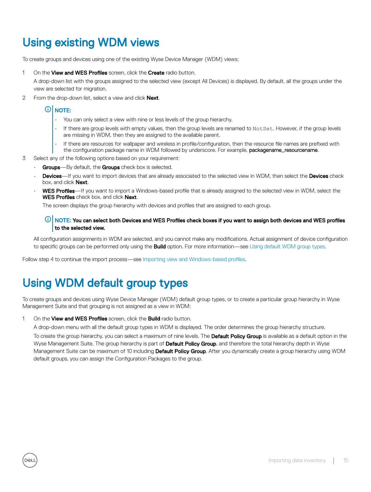## <span id="page-14-0"></span>Using existing WDM views

To create groups and devices using one of the existing Wyse Device Manager (WDM) views:

1 On the **View and WES Profiles** screen, click the **Create** radio button.

A drop-down list with the groups assigned to the selected view (except All Devices) is displayed. By default, all the groups under the view are selected for migration.

2 From the drop-down list, select a view and click Next.

## O NOTE:

- You can only select a view with nine or less levels of the group hierarchy.
- If there are group levels with empty values, then the group levels are renamed to NotSet. However, if the group levels are missing in WDM, then they are assigned to the available parent.
- If there are resources for wallpaper and wireless in profile/configuration, then the resource file names are prefixed with the configuration package name in WDM followed by underscore. For example, packagename\_resourcename.
- 3 Select any of the following options based on your requirement:
	- Groups-By default, the Groups check box is selected.
	- **Devices**—If you want to import devices that are already associated to the selected view in WDM, then select the Devices check box, and click **Next**.
	- WES Profiles—If you want to import a Windows-based profile that is already assigned to the selected view in WDM, select the WES Profiles check box, and click Next.

The screen displays the group hierarchy with devices and profiles that are assigned to each group.

### $\textcircled{\tiny{1}}$  NOTE: You can select both Devices and WES Profiles check boxes if you want to assign both devices and WES profiles to the selected view.

All configuration assignments in WDM are selected, and you cannot make any modifications. Actual assignment of device configuration to specific groups can be performed only using the **Build** option. For more information—see Using default WDM group types.

Follow step 4 to continue the import process—see Importing view and Windows-based profiles.

## Using WDM default group types

To create groups and devices using Wyse Device Manager (WDM) default group types, or to create a particular group hierarchy in Wyse Management Suite and that grouping is not assigned as a view in WDM:

1 On the **View and WES Profiles** screen, click the **Build** radio button.

A drop-down menu with all the default group types in WDM is displayed. The order determines the group hierarchy structure.

To create the group hierarchy, you can select a maximum of nine levels. The **Default Policy Group** is available as a default option in the Wyse Management Suite. The group hierarchy is part of Default Policy Group, and therefore the total hierarchy depth in Wyse Management Suite can be maximum of 10 including **Default Policy Group**. After you dynamically create a group hierarchy using WDM default groups, you can assign the Configuration Packages to the group.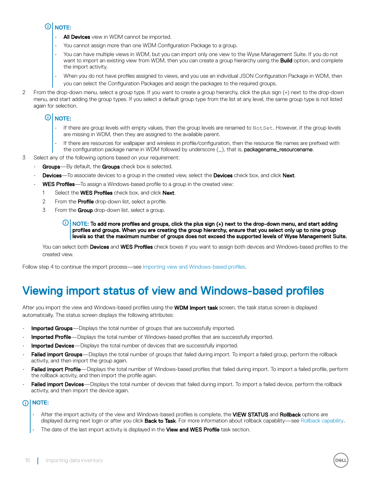#### <span id="page-15-0"></span>രി NOTE:

- All Devices view in WDM cannot be imported.
- You cannot assign more than one WDM Configuration Package to a group.
- You can have multiple views in WDM, but you can import only one view to the Wyse Management Suite. If you do not want to import an existing view from WDM, then you can create a group hierarchy using the **Build** option, and complete the import activity.
- When you do not have profiles assigned to views, and you use an individual JSON Configuration Package in WDM, then you can select the Configuration Packages and assign the packages to the required groups.
- 2 From the drop-down menu, select a group type. If you want to create a group hierarchy, click the plus sign (+) next to the drop-down menu, and start adding the group types. If you select a default group type from the list at any level, the same group type is not listed again for selection.

#### $\Omega$ NOTE:

- If there are group levels with empty values, then the group levels are renamed to NotSet. However, if the group levels are missing in WDM, then they are assigned to the available parent.
- If there are resources for wallpaper and wireless in profile/configuration, then the resource file names are prefixed with the configuration package name in WDM followed by underscore (\_), that is, packagename\_resourcename.
- 3 Select any of the following options based on your requirement:
	- Groups-By default, the Groups check box is selected.
	- **Devices**—To associate devices to a group in the created view, select the **Devices** check box, and click Next.
	- **WES Profiles**—To assign a Windows-based profile to a group in the created view:
		- 1 Select the WES Profiles check box, and click Next.
		- 2 From the **Profile** drop-down list, select a profile.
		- 3 From the Group drop-down list, select a group.

#### $\odot$ NOTE: To add more profiles and groups, click the plus sign (+) next to the drop-down menu, and start adding profiles and groups. When you are creating the group hierarchy, ensure that you select only up to nine group levels so that the maximum number of groups does not exceed the supported levels of Wyse Management Suite.

You can select both Devices and WES Profiles check boxes if you want to assign both devices and Windows-based profiles to the created view.

Follow step 4 to continue the import process—see Importing view and Windows-based profiles.

## Viewing import status of view and Windows-based profiles

After you import the view and Windows-based profiles using the WDM Import task screen, the task status screen is displayed automatically. The status screen displays the following attributes:

- **Imported Groups**—Displays the total number of groups that are successfully imported.
- Imported Profile—Displays the total number of Windows-based profiles that are successfully imported.
- **Imported Devices**—Displays the total number of devices that are successfully imported.
- Failed import Groups—Displays the total number of groups that failed during import. To import a failed group, perform the rollback activity, and then import the group again.
- Failed import Profile—Displays the total number of Windows-based profiles that failed during import. To import a failed profile, perform the rollback activity, and then import the profile again.
- Failed import Devices—Displays the total number of devices that failed during import. To import a failed device, perform the rollback activity, and then import the device again.

## NOTE:

- After the import activity of the view and Windows-based profiles is complete, the VIEW STATUS and Rollback options are displayed during next login or after you click **Back to Task**. For more information about rollback capability—see [Rollback capability](#page-16-0).
- The date of the last import activity is displayed in the View and WES Profile task section.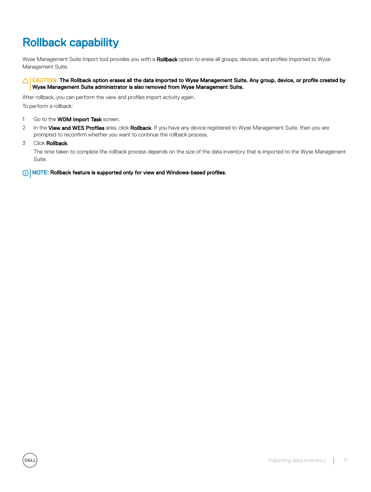## <span id="page-16-0"></span>Rollback capability

Wyse Management Suite Import tool provides you with a Rollback option to erase all groups, devices, and profiles imported to Wyse Management Suite.

#### $\triangle$  CAUTION: The Rollback option erases all the data imported to Wyse Management Suite. Any group, device, or profile created by Wyse Management Suite administrator is also removed from Wyse Management Suite.

After rollback, you can perform the view and profiles import activity again. To perform a rollback:

- 1 Go to the **WDM Import Task** screen.
- 2 In the View and WES Profiles area, click Rollback. If you have any device registered to Wyse Management Suite, then you are prompted to reconfirm whether you want to continue the rollback process.
- 3 Click **Rollback**.

The time taken to complete the rollback process depends on the size of the data inventory that is imported to the Wyse Management Suite.

NOTE: Rollback feature is supported only for view and Windows-based profiles.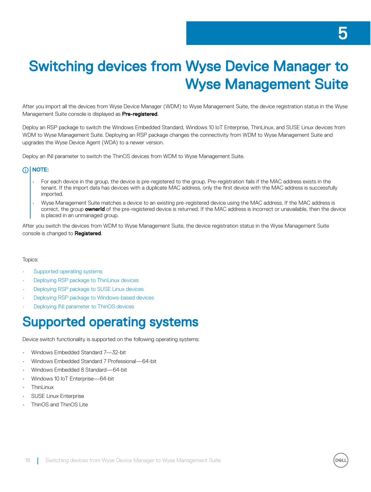# <span id="page-17-0"></span>Switching devices from Wyse Device Manager to Wyse Management Suite

After you import all the devices from Wyse Device Manager (WDM) to Wyse Management Suite, the device registration status in the Wyse Management Suite console is displayed as **Pre-registered**.

Deploy an RSP package to switch the Windows Embedded Standard, Windows 10 IoT Enterprise, ThinLinux, and SUSE Linux devices from WDM to Wyse Management Suite. Deploying an RSP package changes the connectivity from WDM to Wyse Management Suite and upgrades the Wyse Device Agent (WDA) to a newer version.

Deploy an INI parameter to switch the ThinOS devices from WDM to Wyse Management Suite.

### **GINOTE:**

- For each device in the group, the device is pre-registered to the group. Pre-registration fails if the MAC address exists in the tenant. If the import data has devices with a duplicate MAC address, only the first device with the MAC address is successfully imported.
- Wyse Management Suite matches a device to an existing pre-registered device using the MAC address. If the MAC address is correct, the group ownerId of the pre-registered device is returned. If the MAC address is incorrect or unavailable, then the device is placed in an unmanaged group.

After you switch the devices from WDM to Wyse Management Suite, the device registration status in the Wyse Management Suite console is changed to **Registered**.

#### Topics:

- Supported operating systems
- [Deploying RSP package to ThinLinux devices](#page-18-0)
- [Deploying RSP package to SUSE Linux devices](#page-18-0)
- [Deploying RSP package to Windows-based devices](#page-18-0)
- [Deploying INI parameter to ThinOS devices](#page-19-0)

# Supported operating systems

Device switch functionality is supported on the following operating systems:

- Windows Embedded Standard 7—32-bit
- Windows Embedded Standard 7 Professional—64-bit
- Windows Embedded 8 Standard—64-bit
- Windows 10 IoT Enterprise—64-bit
- **ThinLinux**
- SUSE Linux Enterprise
- ThinOS and ThinOS Lite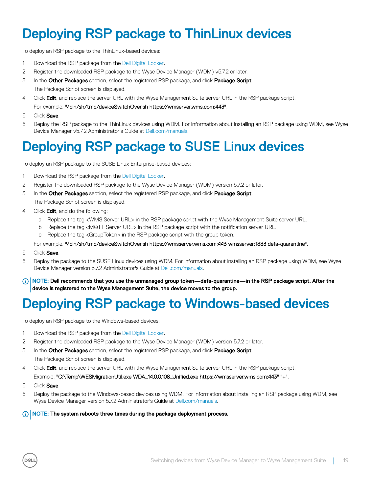# <span id="page-18-0"></span>Deploying RSP package to ThinLinux devices

To deploy an RSP package to the ThinLinux-based devices:

- 1 Download the RSP package from the [Dell Digital Locker.](https://www.dell.com/support/software/us/en/4)
- 2 Register the downloaded RSP package to the Wyse Device Manager (WDM) v5.7.2 or later.
- 3 In the Other Packages section, select the registered RSP package, and click Package Script. The Package Script screen is displayed.
- 4 Click Edit, and replace the server URL with the Wyse Management Suite server URL in the RSP package script. For example: "/bin/sh/tmp/deviceSwitchOver.sh https://wmserver.wms.com:443".
- 5 Click Save.
- 6 Deploy the RSP package to the ThinLinux devices using WDM. For information about installing an RSP package using WDM, see Wyse Device Manager v5.7.2 Administrator's Guide at [Dell.com/manuals](HTTP://WWW.DELL.COM/SUPPORT/HOME/US/EN/19/PRODUCT-SUPPORT/PRODUCT/WYSE-WMS/MANUALS).

# Deploying RSP package to SUSE Linux devices

To deploy an RSP package to the SUSE Linux Enterprise-based devices:

- 1 Download the RSP package from the [Dell Digital Locker.](https://www.dell.com/support/software/us/en/4)
- 2 Register the downloaded RSP package to the Wyse Device Manager (WDM) version 5.7.2 or later.
- 3 In the Other Packages section, select the registered RSP package, and click Package Script. The Package Script screen is displayed.
- 4 Click **Edit**, and do the following:
	- a Replace the tag <WMS Server URL> in the RSP package script with the Wyse Management Suite server URL.
	- b Replace the tag <MQTT Server URL> in the RSP package script with the notification server URL.
	- c Replace the tag <GroupToken> in the RSP package script with the group token.
	- For example, "/bin/sh/tmp/deviceSwitchOver.sh https://wmsserver.wms.com:443 wmsserver:1883 defa-quarantine".
- 5 Click Save.
- 6 Deploy the package to the SUSE Linux devices using WDM. For information about installing an RSP package using WDM, see Wyse Device Manager version 5.7.2 Administrator's Guide at [Dell.com/manuals](HTTP://WWW.DELL.COM/SUPPORT/HOME/US/EN/19/PRODUCT-SUPPORT/PRODUCT/WYSE-WMS/MANUALS).
- (i) NOTE: Dell recommends that you use the unmanaged group token—defa-quarantine—in the RSP package script. After the device is registered to the Wyse Management Suite, the device moves to the group.

# Deploying RSP package to Windows-based devices

To deploy an RSP package to the Windows-based devices:

- 1 Download the RSP package from the [Dell Digital Locker.](https://www.dell.com/support/software/us/en/4)
- 2 Register the downloaded RSP package to the Wyse Device Manager (WDM) version 5.7.2 or later.
- 3 In the Other Packages section, select the registered RSP package, and click Package Script. The Package Script screen is displayed.
- 4 Click Edit, and replace the server URL with the Wyse Management Suite server URL in the RSP package script.

### Example: "C:\Temp\WESMigrationUtil.exe WDA\_14.0.0.108\_Unified.exe https://wmsserver.wms.com:443" "+".

5 Click Save

**DELI** 

6 Deploy the package to the Windows-based devices using WDM. For information about installing an RSP package using WDM, see Wyse Device Manager version 5.7.2 Administrator's Guide at [Dell.com/manuals](HTTP://WWW.DELL.COM/SUPPORT/HOME/US/EN/19/PRODUCT-SUPPORT/PRODUCT/WYSE-WMS/MANUALS).

### (i) NOTE: The system reboots three times during the package deployment process.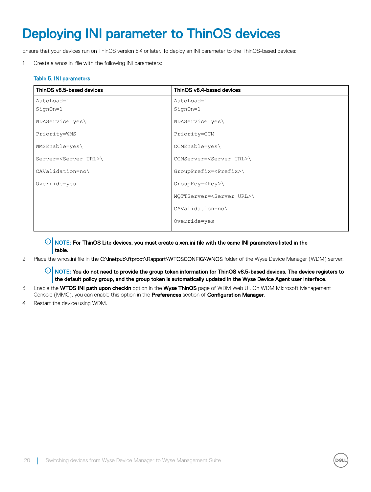# <span id="page-19-0"></span>Deploying INI parameter to ThinOS devices

Ensure that your devices run on ThinOS version 8.4 or later. To deploy an INI parameter to the ThinOS-based devices:

1 Create a wnos.ini file with the following INI parameters:

### Table 5. INI parameters

| ThinOS v8.5-based devices         | ThinOS v8.4-based devices             |
|-----------------------------------|---------------------------------------|
| AutoLoad=1                        | AutoLoad=1                            |
| SignOn=1                          | SignOn=1                              |
| WDAService=yes\                   | WDAService=yes\                       |
| Priority=WMS                      | Priority=CCM                          |
| $WMSEnable = yes$                 | CCMEnable=yes\                        |
| Server= <server url="">\</server> | CCMServer= <server url="">\</server>  |
| CAValidation=no\                  | GroupPrefix= <prefix>\</prefix>       |
| Override=yes                      | $GroupKey=\$                          |
|                                   | MQTTServer= <server url="">\</server> |
|                                   | CAValidation=no\                      |
|                                   | Override=yes                          |

 $\circled{0}$  NOTE: For ThinOS Lite devices, you must create a xen.ini file with the same INI parameters listed in the table.

2 Place the wnos.ini file in the C:\inetpub\ftproot\Rapport\WTOSCONFIG\WNOS folder of the Wyse Device Manager (WDM) server.

 $\ket{0}$  NOTE: You do not need to provide the group token information for ThinOS v8.5-based devices. The device registers to the default policy group, and the group token is automatically updated in the Wyse Device Agent user interface.

- 3 Enable the WTOS INI path upon checkin option in the Wyse ThinOS page of WDM Web UI. On WDM Microsoft Management Console (MMC), you can enable this option in the **Preferences** section of **Configuration Manager**.
- 4 Restart the device using WDM.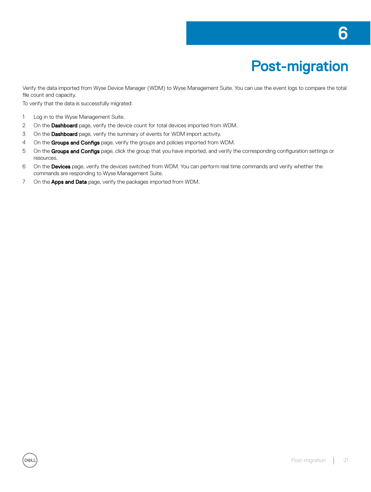# Post-migration

<span id="page-20-0"></span>Verify the data imported from Wyse Device Manager (WDM) to Wyse Management Suite. You can use the event logs to compare the total file count and capacity.

To verify that the data is successfully migrated:

- 1 Log in to the Wyse Management Suite.
- 2 On the Dashboard page, verify the device count for total devices imported from WDM.
- 3 On the **Dashboard** page, verify the summary of events for WDM import activity.
- 4 On the Groups and Configs page, verify the groups and policies imported from WDM.
- 5 On the Groups and Configs page, click the group that you have imported, and verify the corresponding configuration settings or resources.
- 6 On the Devices page, verify the devices switched from WDM. You can perform real time commands and verify whether the commands are responding to Wyse Management Suite.
- 7 On the **Apps and Data** page, verify the packages imported from WDM.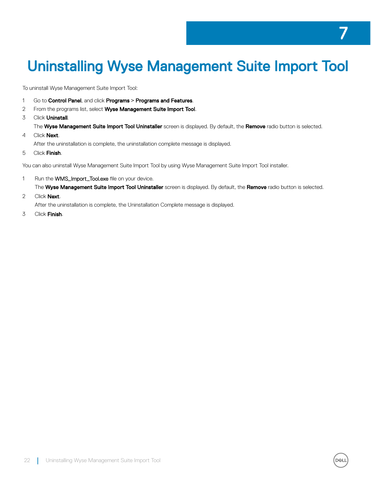# <span id="page-21-0"></span>Uninstalling Wyse Management Suite Import Tool

To uninstall Wyse Management Suite Import Tool:

- 1 Go to Control Panel, and click Programs **>** Programs and Features.
- 2 From the programs list, select Wyse Management Suite Import Tool.
- 3 Click **Uninstall**.

The Wyse Management Suite Import Tool Uninstaller screen is displayed. By default, the Remove radio button is selected.

4 Click **Next**.

After the uninstallation is complete, the uninstallation complete message is displayed.

5 Click Finish.

You can also uninstall Wyse Management Suite Import Tool by using Wyse Management Suite Import Tool installer.

- 1 Run the **WMS\_Import\_Tool.exe** file on your device. The Wyse Management Suite Import Tool Uninstaller screen is displayed. By default, the Remove radio button is selected.
- 2 Click **Next**.

After the uninstallation is complete, the Uninstallation Complete message is displayed.

3 Click Finish.

7